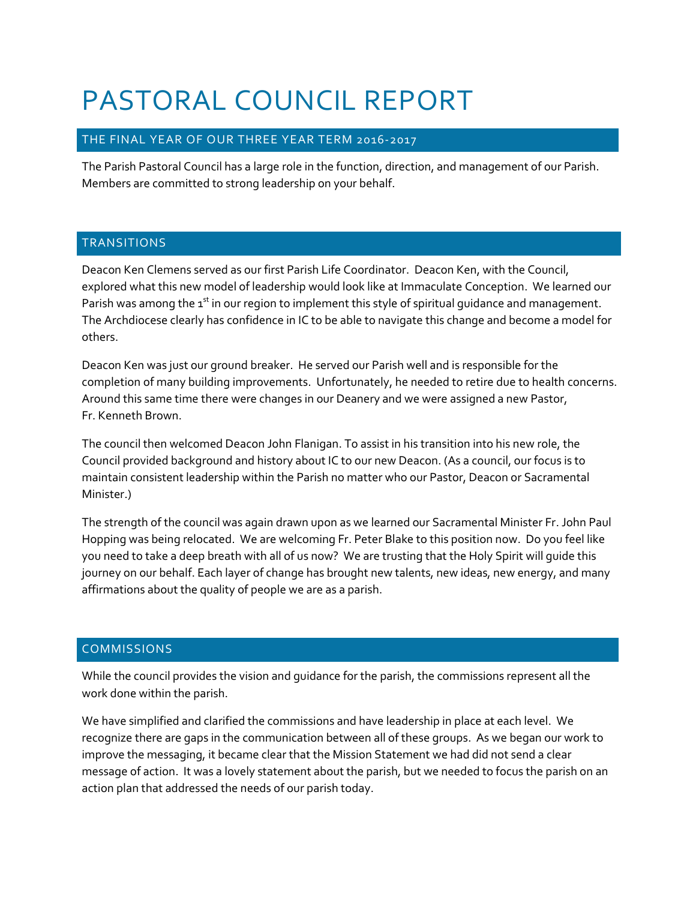# PASTORAL COUNCIL REPORT

# THE FINAL YEAR OF OUR THREE YEAR TERM 2016-2017

The Parish Pastoral Council has a large role in the function, direction, and management of our Parish. Members are committed to strong leadership on your behalf.

## **TRANSITIONS**

Deacon Ken Clemens served as our first Parish Life Coordinator. Deacon Ken, with the Council, explored what this new model of leadership would look like at Immaculate Conception. We learned our Parish was among the  $1<sup>st</sup>$  in our region to implement this style of spiritual guidance and management. The Archdiocese clearly has confidence in IC to be able to navigate this change and become a model for others.

Deacon Ken was just our ground breaker. He served our Parish well and is responsible for the completion of many building improvements. Unfortunately, he needed to retire due to health concerns. Around this same time there were changes in our Deanery and we were assigned a new Pastor, Fr. Kenneth Brown.

The council then welcomed Deacon John Flanigan. To assist in his transition into his new role, the Council provided background and history about IC to our new Deacon. (As a council, our focus is to maintain consistent leadership within the Parish no matter who our Pastor, Deacon or Sacramental Minister.)

The strength of the council was again drawn upon as we learned our Sacramental Minister Fr. John Paul Hopping was being relocated. We are welcoming Fr. Peter Blake to this position now. Do you feel like you need to take a deep breath with all of us now? We are trusting that the Holy Spirit will guide this journey on our behalf. Each layer of change has brought new talents, new ideas, new energy, and many affirmations about the quality of people we are as a parish.

# COMMISSIONS

While the council provides the vision and guidance for the parish, the commissions represent all the work done within the parish.

We have simplified and clarified the commissions and have leadership in place at each level. We recognize there are gaps in the communication between all of these groups. As we began our work to improve the messaging, it became clear that the Mission Statement we had did not send a clear message of action. It was a lovely statement about the parish, but we needed to focus the parish on an action plan that addressed the needs of our parish today.